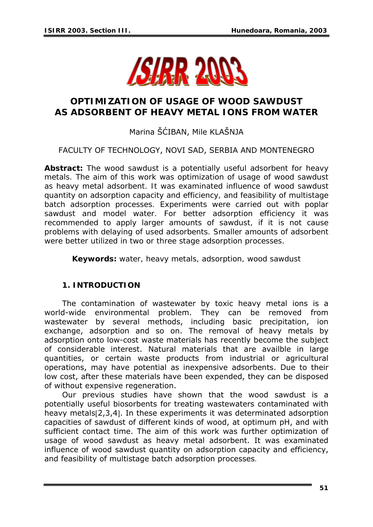

# **OPTIMIZATION OF USAGE OF WOOD SAWDUST AS ADSORBENT OF HEAVY METAL IONS FROM WATER**

Marina ŠĆIBAN, Mile KLAŠNJA

# FACULTY OF TECHNOLOGY, NOVI SAD, SERBIA AND MONTENEGRO

*Abstract: The wood sawdust is a potentially useful adsorbent for heavy metals. The aim of this work was optimization of usage of wood sawdust as heavy metal adsorbent. It was examinated influence of wood sawdust quantity on adsorption capacity and efficiency, and feasibility of multistage batch adsorption processes. Experiments were carried out with poplar sawdust and model water. For better adsorption efficiency it was recommended to apply larger amounts of sawdust, if it is not cause problems with delaying of used adsorbents. Smaller amounts of adsorbent were better utilized in two or three stage adsorption processes.* 

*Keywords: water, heavy metals, adsorption, wood sawdust* 

## **1. INTRODUCTION**

The contamination of wastewater by toxic heavy metal ions is a world-wide environmental problem. They can be removed from wastewater by several methods, including basic precipitation, ion exchange, adsorption and so on. The removal of heavy metals by adsorption onto low-cost waste materials has recently become the subject of considerable interest. Natural materials that are availble in large quantities, or certain waste products from industrial or agricultural operations, may have potential as inexpensive adsorbents. Due to their low cost, after these materials have been expended, they can be disposed of without expensive regeneration.

Our previous studies have shown that the wood sawdust is a potentially useful biosorbents for treating wastewaters contaminated with heavy metals[2,3,4]. In these experiments it was determinated adsorption capacities of sawdust of different kinds of wood, at optimum pH, and with sufficient contact time. The aim of this work was further optimization of usage of wood sawdust as heavy metal adsorbent. It was examinated influence of wood sawdust quantity on adsorption capacity and efficiency, and feasibility of multistage batch adsorption processes.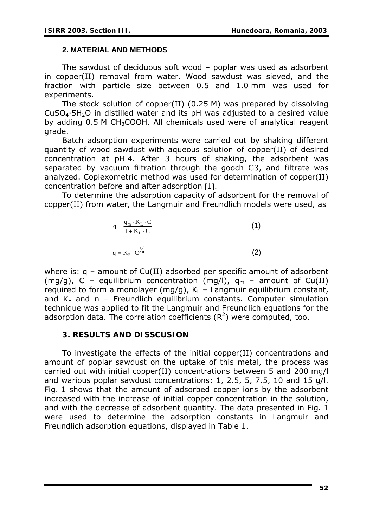#### **2. MATERIAL AND METHODS**

The sawdust of deciduous soft wood – poplar was used as adsorbent in copper(II) removal from water. Wood sawdust was sieved, and the fraction with particle size between 0.5 and 1.0 mm was used for experiments.

The stock solution of copper(II) (0.25 M) was prepared by dissolving  $CuSO<sub>4</sub>·5H<sub>2</sub>O$  in distilled water and its pH was adjusted to a desired value by adding 0.5 M CH<sub>3</sub>COOH. All chemicals used were of analytical reagent grade.

Batch adsorption experiments were carried out by shaking different quantity of wood sawdust with aqueous solution of copper(II) of desired concentration at pH 4. After 3 hours of shaking, the adsorbent was separated by vacuum filtration through the gooch G3, and filtrate was analyzed. Coplexometric method was used for determination of copper(II) concentration before and after adsorption [1].

To determine the adsorption capacity of adsorbent for the removal of copper(II) from water, the Langmuir and Freundlich models were used, as

$$
q = \frac{q_m \cdot K_L \cdot C}{1 + K_L \cdot C}
$$
 (1)  

$$
q = K_F \cdot C^{\frac{1}{n}}
$$
 (2)

where is:  $q - q$  amount of Cu(II) adsorbed per specific amount of adsorbent (mg/g), C – equilibrium concentration (mg/l),  $q_m$  – amount of Cu(II) required to form a monolayer (mg/g),  $K_L$  – Langmuir equilibrium constant, and  $K_F$  and n – Freundlich equilibrium constants. Computer simulation technique was applied to fit the Langmuir and Freundlich equations for the adsorption data. The correlation coefficients  $(R^2)$  were computed, too.

## **3. RESULTS AND DISSCUSION**

To investigate the effects of the initial copper(II) concentrations and amount of poplar sawdust on the uptake of this metal, the process was carried out with initial copper(II) concentrations between 5 and 200 mg/l and warious poplar sawdust concentrations: 1, 2.5, 5, 7.5, 10 and 15 g/l. Fig. 1 shows that the amount of adsorbed copper ions by the adsorbent increased with the increase of initial copper concentration in the solution, and with the decrease of adsorbent quantity. The data presented in Fig. 1 were used to determine the adsorption constants in Langmuir and Freundlich adsorption equations, displayed in Table 1.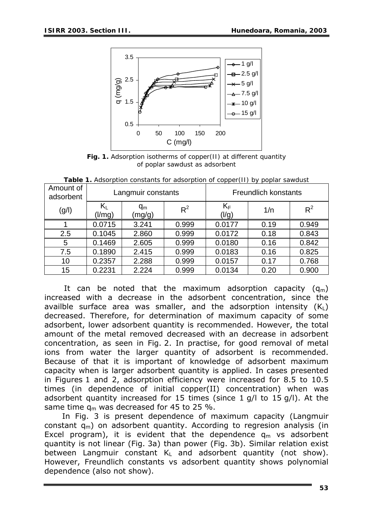

*Fig. 1. Adsorption isotherms of copper(II) at different quantity of poplar sawdust as adsorbent* 

| Amount of<br>adsorbent | Langmuir constants                  |                 |       | <b>Freundlich konstants</b>        |      |       |
|------------------------|-------------------------------------|-----------------|-------|------------------------------------|------|-------|
| (g/I)                  | $\mathsf{K}_{\mathsf{L}}$<br>(1/mg) | $q_m$<br>(mg/g) | $R^2$ | $\mathsf{K}_{\mathsf{F}}$<br>(l/g) | 1/n  | $R^2$ |
|                        | 0.0715                              | 3.241           | 0.999 | 0.0177                             | 0.19 | 0.949 |
| 2.5                    | 0.1045                              | 2.860           | 0.999 | 0.0172                             | 0.18 | 0.843 |
| 5                      | 0.1469                              | 2.605           | 0.999 | 0.0180                             | 0.16 | 0.842 |
| 7.5                    | 0.1890                              | 2.415           | 0.999 | 0.0183                             | 0.16 | 0.825 |
| 10                     | 0.2357                              | 2.288           | 0.999 | 0.0157                             | 0.17 | 0.768 |
| 15                     | 0.2231                              | 2.224           | 0.999 | 0.0134                             | 0.20 | 0.900 |

*Table 1. Adsorption constants for adsorption of copper(II) by poplar sawdust*

It can be noted that the maximum adsorption capacity  $(q_m)$ increased with a decrease in the adsorbent concentration, since the availble surface area was smaller, and the adsorption intensity  $(K_1)$ decreased. Therefore, for determination of maximum capacity of some adsorbent, lower adsorbent quantity is recommended. However, the total amount of the metal removed decreased with an decrease in adsorbent concentration, as seen in Fig. 2. In practise, for good removal of metal ions from water the larger quantity of adsorbent is recommended. Because of that it is important of knowledge of adsorbent maximum capacity when is larger adsorbent quantity is applied. In cases presented in Figures 1 and 2, adsorption efficiency were increased for 8.5 to 10.5 times (in dependence of initial copper(II) concentration) when was adsorbent quantity increased for 15 times (since 1 g/l to 15 g/l). At the same time  $q_m$  was decreased for 45 to 25 %.

In Fig. 3 is present dependence of maximum capacity (Langmuir constant  $q_m$ ) on adsorbent quantity. According to regresion analysis (in Excel program), it is evident that the dependence  $q_m$  vs adsorbent quantity is not linear (Fig. 3a) than power (Fig. 3b). Similar relation exist between Langmuir constant  $K_L$  and adsorbent quantity (not show). However, Freundlich constants vs adsorbent quantity shows polynomial dependence (also not show).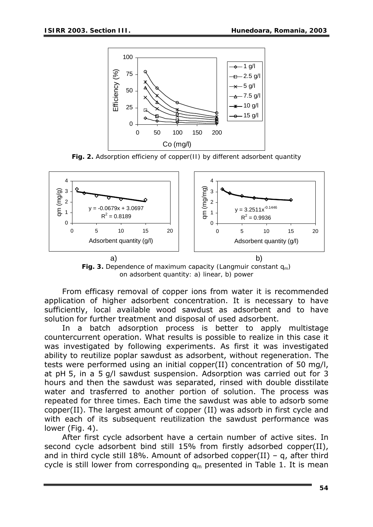

*Fig. 2. Adsorption efficieny of copper(II) by different adsorbent quantity* 



*Fig. 3. Dependence of maximum capacity (Langmuir constant q<sub>m</sub>) on adsorbent quantity: a) linear, b) power* 

From efficasy removal of copper ions from water it is recommended application of higher adsorbent concentration. It is necessary to have sufficiently, local available wood sawdust as adsorbent and to have solution for further treatment and disposal of used adsorbent.

In a batch adsorption process is better to apply multistage countercurrent operation. What results is possible to realize in this case it was investigated by following experiments. As first it was investigated ability to reutilize poplar sawdust as adsorbent, without regeneration. The tests were performed using an initial copper(II) concentration of 50 mg/l, at pH 5, in a 5 g/l sawdust suspension. Adsorption was carried out for 3 hours and then the sawdust was separated, rinsed with double disstilate water and trasferred to another portion of solution. The process was repeated for three times. Each time the sawdust was able to adsorb some copper(II). The largest amount of copper (II) was adsorb in first cycle and with each of its subsequent reutilization the sawdust performance was lower (Fig. 4).

After first cycle adsorbent have a certain number of active sites. In second cycle adsorbent bind still 15% from firstly adsorbed copper(II), and in third cycle still 18%. Amount of adsorbed copper(II) – q, after third cycle is still lower from corresponding  $q_m$  presented in Table 1. It is mean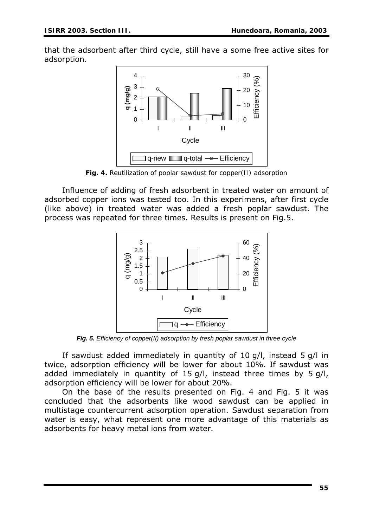that the adsorbent after third cycle, still have a some free active sites for adsorption.



*Fig. 4. Reutilization of poplar sawdust for copper(II) adsorption* 

Influence of adding of fresh adsorbent in treated water on amount of adsorbed copper ions was tested too. In this experimens, after first cycle (like above) in treated water was added a fresh poplar sawdust. The process was repeated for three times. Results is present on Fig.5.



*Fig. 5. Efficiency of copper(II) adsorption by fresh poplar sawdust in three cycle* 

If sawdust added immediately in quantity of 10 g/l, instead 5 g/l in twice, adsorption efficiency will be lower for about 10%. If sawdust was added immediately in quantity of 15 g/l, instead three times by 5 g/l, adsorption efficiency will be lower for about 20%.

On the base of the results presented on Fig. 4 and Fig. 5 it was concluded that the adsorbents like wood sawdust can be applied in multistage countercurrent adsorption operation. Sawdust separation from water is easy, what represent one more advantage of this materials as adsorbents for heavy metal ions from water.